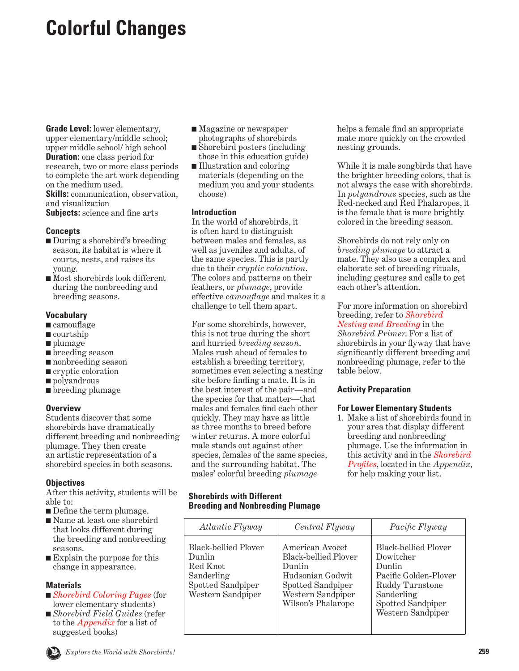# <span id="page-0-0"></span>**Colorful Changes**

**Grade Level:** lower elementary, upper elementary/middle school; upper middle school/ high school **Duration:** one class period for research, two or more class periods to complete the art work depending on the medium used. **Skills:** communication, observation, and visualization **Subjects:** science and fine arts

#### **Concepts**

- During a shorebird's breeding season, its habitat is where it courts, nests, and raises its young.
- Most shorebirds look different during the nonbreeding and breeding seasons.

## **Vocabulary**

- camouflage
- courtship
- plumage
- breeding season
- nonbreeding season
- cryptic coloration
- polyandrous
- breeding plumage

# **Overview**

Students discover that some shorebirds have dramatically different breeding and nonbreeding plumage. They then create an artistic representation of a shorebird species in both seasons.

# **Objectives**

After this activity, students will be able to:

- Define the term plumage.
- Name at least one shorebird that looks different during the breeding and nonbreeding seasons.
- Explain the purpose for this change in appearance.

# **Materials**

- *Shorebird Coloring Pages* (for lower elementary students)
- *Shorebird Field Guides* (refer to the *Appendix* for a list of suggested books)
- Magazine or newspaper photographs of shorebirds
- Shorebird posters (including those in this education guide)
- Illustration and coloring materials (depending on the medium you and your students choose)

## **Introduction**

In the world of shorebirds, it is often hard to distinguish between males and females, as well as juveniles and adults, of the same species. This is partly due to their *cryptic coloration*. The colors and patterns on their feathers, or *plumage*, provide effective *camouflage* and makes it a challenge to tell them apart.

For some shorebirds, however, this is not true during the short and hurried *breeding season*. Males rush ahead of females to establish a breeding territory, sometimes even selecting a nesting site before finding a mate. It is in the best interest of the pair—and the species for that matter—that males and females find each other quickly. They may have as little as three months to breed before winter returns. A more colorful male stands out against other species, females of the same species, and the surrounding habitat. The males' colorful breeding *plumage* 

## **Shorebirds with Different Breeding and Nonbreeding Plumage**

helps a female find an appropriate mate more quickly on the crowded nesting grounds.

While it is male songbirds that have the brighter breeding colors, that is not always the case with shorebirds. In *polyandrous* species, such as the Red-necked and Red Phalaropes, it is the female that is more brightly colored in the breeding season.

Shorebirds do not rely only on *breeding plumage* to attract a mate. They also use a complex and elaborate set of breeding rituals, including gestures and calls to get each other's attention.

For more information on shorebird breeding, refer to *Shorebird [Nesting and Breeding](#page-28-0)* in the *Shorebird Primer*. For a list of shorebirds in your flyway that have significantly different breeding and nonbreeding plumage, refer to the table below.

# **Activity Preparation**

#### **For Lower Elementary Students**

1. Make a list of shorebirds found in your area that display different breeding and nonbreeding plumage. Use the information in this activity and in the *Shorebird Profiles*, located in the *Appendix*, for help making your list.

| <i>Atlantic Flyway</i>                                                                             | Central Flyway                                                                                                                               | Pacific Flyway                                                                                                                                  |
|----------------------------------------------------------------------------------------------------|----------------------------------------------------------------------------------------------------------------------------------------------|-------------------------------------------------------------------------------------------------------------------------------------------------|
| Black-bellied Plover<br>Dunlin<br>Red Knot<br>Sanderling<br>Spotted Sandpiper<br>Western Sandpiper | American Avocet<br><b>Black-bellied Plover</b><br>Dunlin<br>Hudsonian Godwit<br>Spotted Sandpiper<br>Western Sandpiper<br>Wilson's Phalarope | Black-bellied Plover<br>Dowitcher<br>Dunlin<br>Pacific Golden-Plover<br>Ruddy Turnstone<br>Sanderling<br>Spotted Sandpiper<br>Western Sandpiper |